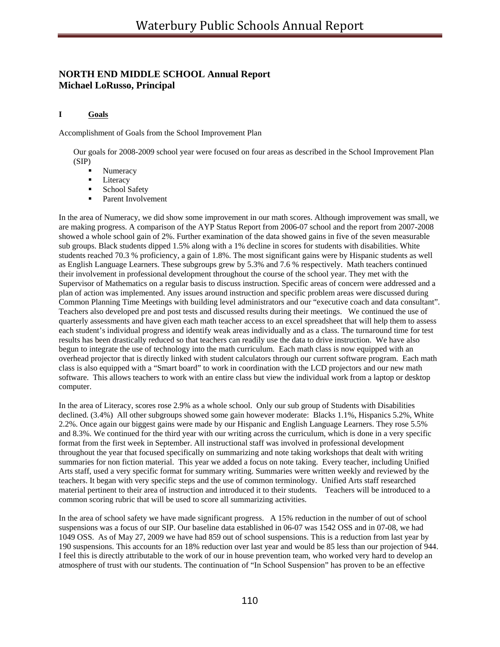# **NORTH END MIDDLE SCHOOL Annual Report Michael LoRusso, Principal**

## **I Goals**

Accomplishment of Goals from the School Improvement Plan

Our goals for 2008-2009 school year were focused on four areas as described in the School Improvement Plan (SIP)

- Numeracy
- **Literacy**
- **School Safety**
- Parent Involvement

In the area of Numeracy, we did show some improvement in our math scores. Although improvement was small, we are making progress. A comparison of the AYP Status Report from 2006-07 school and the report from 2007-2008 showed a whole school gain of 2%. Further examination of the data showed gains in five of the seven measurable sub groups. Black students dipped 1.5% along with a 1% decline in scores for students with disabilities. White students reached 70.3 % proficiency, a gain of 1.8%. The most significant gains were by Hispanic students as well as English Language Learners. These subgroups grew by 5.3% and 7.6 % respectively. Math teachers continued their involvement in professional development throughout the course of the school year. They met with the Supervisor of Mathematics on a regular basis to discuss instruction. Specific areas of concern were addressed and a plan of action was implemented. Any issues around instruction and specific problem areas were discussed during Common Planning Time Meetings with building level administrators and our "executive coach and data consultant". Teachers also developed pre and post tests and discussed results during their meetings. We continued the use of quarterly assessments and have given each math teacher access to an excel spreadsheet that will help them to assess each student's individual progress and identify weak areas individually and as a class. The turnaround time for test results has been drastically reduced so that teachers can readily use the data to drive instruction. We have also begun to integrate the use of technology into the math curriculum. Each math class is now equipped with an overhead projector that is directly linked with student calculators through our current software program. Each math class is also equipped with a "Smart board" to work in coordination with the LCD projectors and our new math software. This allows teachers to work with an entire class but view the individual work from a laptop or desktop computer.

In the area of Literacy, scores rose 2.9% as a whole school. Only our sub group of Students with Disabilities declined. (3.4%) All other subgroups showed some gain however moderate: Blacks 1.1%, Hispanics 5.2%, White 2.2%. Once again our biggest gains were made by our Hispanic and English Language Learners. They rose 5.5% and 8.3%. We continued for the third year with our writing across the curriculum, which is done in a very specific format from the first week in September. All instructional staff was involved in professional development throughout the year that focused specifically on summarizing and note taking workshops that dealt with writing summaries for non fiction material. This year we added a focus on note taking. Every teacher, including Unified Arts staff, used a very specific format for summary writing. Summaries were written weekly and reviewed by the teachers. It began with very specific steps and the use of common terminology. Unified Arts staff researched material pertinent to their area of instruction and introduced it to their students. Teachers will be introduced to a common scoring rubric that will be used to score all summarizing activities.

In the area of school safety we have made significant progress. A 15% reduction in the number of out of school suspensions was a focus of our SIP. Our baseline data established in 06-07 was 1542 OSS and in 07-08, we had 1049 OSS. As of May 27, 2009 we have had 859 out of school suspensions. This is a reduction from last year by 190 suspensions. This accounts for an 18% reduction over last year and would be 85 less than our projection of 944. I feel this is directly attributable to the work of our in house prevention team, who worked very hard to develop an atmosphere of trust with our students. The continuation of "In School Suspension" has proven to be an effective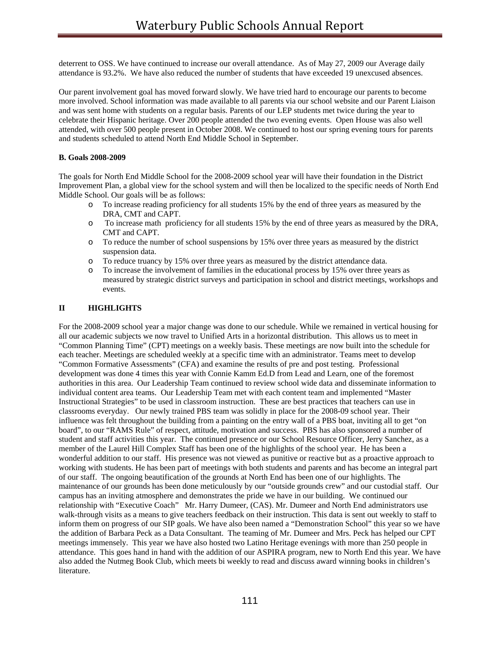deterrent to OSS. We have continued to increase our overall attendance. As of May 27, 2009 our Average daily attendance is 93.2%. We have also reduced the number of students that have exceeded 19 unexcused absences.

Our parent involvement goal has moved forward slowly. We have tried hard to encourage our parents to become more involved. School information was made available to all parents via our school website and our Parent Liaison and was sent home with students on a regular basis. Parents of our LEP students met twice during the year to celebrate their Hispanic heritage. Over 200 people attended the two evening events. Open House was also well attended, with over 500 people present in October 2008. We continued to host our spring evening tours for parents and students scheduled to attend North End Middle School in September.

## **B. Goals 2008-2009**

The goals for North End Middle School for the 2008-2009 school year will have their foundation in the District Improvement Plan, a global view for the school system and will then be localized to the specific needs of North End Middle School. Our goals will be as follows:

- o To increase reading proficiency for all students 15% by the end of three years as measured by the DRA, CMT and CAPT.
- o To increase math proficiency for all students 15% by the end of three years as measured by the DRA, CMT and CAPT.
- o To reduce the number of school suspensions by 15% over three years as measured by the district suspension data.
- o To reduce truancy by 15% over three years as measured by the district attendance data.
- o To increase the involvement of families in the educational process by 15% over three years as measured by strategic district surveys and participation in school and district meetings, workshops and events.

## **II HIGHLIGHTS**

For the 2008-2009 school year a major change was done to our schedule. While we remained in vertical housing for all our academic subjects we now travel to Unified Arts in a horizontal distribution. This allows us to meet in "Common Planning Time" (CPT) meetings on a weekly basis. These meetings are now built into the schedule for each teacher. Meetings are scheduled weekly at a specific time with an administrator. Teams meet to develop "Common Formative Assessments" (CFA) and examine the results of pre and post testing. Professional development was done 4 times this year with Connie Kamm Ed.D from Lead and Learn, one of the foremost authorities in this area. Our Leadership Team continued to review school wide data and disseminate information to individual content area teams. Our Leadership Team met with each content team and implemented "Master Instructional Strategies" to be used in classroom instruction. These are best practices that teachers can use in classrooms everyday. Our newly trained PBS team was solidly in place for the 2008-09 school year. Their influence was felt throughout the building from a painting on the entry wall of a PBS boat, inviting all to get "on board", to our "RAMS Rule" of respect, attitude, motivation and success. PBS has also sponsored a number of student and staff activities this year. The continued presence or our School Resource Officer, Jerry Sanchez, as a member of the Laurel Hill Complex Staff has been one of the highlights of the school year. He has been a wonderful addition to our staff. His presence was not viewed as punitive or reactive but as a proactive approach to working with students. He has been part of meetings with both students and parents and has become an integral part of our staff. The ongoing beautification of the grounds at North End has been one of our highlights. The maintenance of our grounds has been done meticulously by our "outside grounds crew" and our custodial staff. Our campus has an inviting atmosphere and demonstrates the pride we have in our building. We continued our relationship with "Executive Coach" Mr. Harry Dumeer, (CAS). Mr. Dumeer and North End administrators use walk-through visits as a means to give teachers feedback on their instruction. This data is sent out weekly to staff to inform them on progress of our SIP goals. We have also been named a "Demonstration School" this year so we have the addition of Barbara Peck as a Data Consultant. The teaming of Mr. Dumeer and Mrs. Peck has helped our CPT meetings immensely. This year we have also hosted two Latino Heritage evenings with more than 250 people in attendance. This goes hand in hand with the addition of our ASPIRA program, new to North End this year. We have also added the Nutmeg Book Club, which meets bi weekly to read and discuss award winning books in children's literature.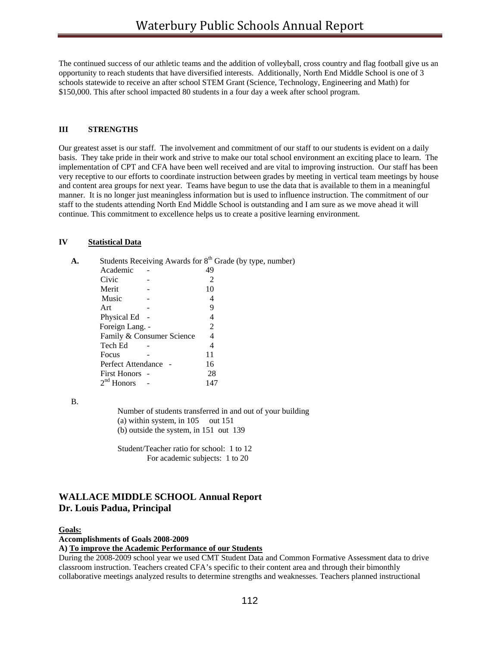The continued success of our athletic teams and the addition of volleyball, cross country and flag football give us an opportunity to reach students that have diversified interests. Additionally, North End Middle School is one of 3 schools statewide to receive an after school STEM Grant (Science, Technology, Engineering and Math) for \$150,000. This after school impacted 80 students in a four day a week after school program.

### **III STRENGTHS**

Our greatest asset is our staff. The involvement and commitment of our staff to our students is evident on a daily basis. They take pride in their work and strive to make our total school environment an exciting place to learn. The implementation of CPT and CFA have been well received and are vital to improving instruction. Our staff has been very receptive to our efforts to coordinate instruction between grades by meeting in vertical team meetings by house and content area groups for next year. Teams have begun to use the data that is available to them in a meaningful manner. It is no longer just meaningless information but is used to influence instruction. The commitment of our staff to the students attending North End Middle School is outstanding and I am sure as we move ahead it will continue. This commitment to excellence helps us to create a positive learning environment.

### **IV Statistical Data**

|                           | Students Receiving Awards for $8th$ Grade (by type, number) |
|---------------------------|-------------------------------------------------------------|
| Academic                  | 49                                                          |
| Civic                     | 2                                                           |
| Merit                     | 10                                                          |
| Music                     | 4                                                           |
| Art                       | 9                                                           |
| Physical Ed               | 4                                                           |
| Foreign Lang. -           | $\mathcal{D}_{\cdot}$                                       |
| Family & Consumer Science | 4                                                           |
| Tech Ed                   | 4                                                           |
| Focus                     | 11                                                          |
| Perfect Attendance        | 16                                                          |
| <b>First Honors</b> -     | 28                                                          |
| $2nd$ Honors              | 147                                                         |

B.

Number of students transferred in and out of your building (a) within system, in 105 out 151 (b) outside the system, in 151 out 139

Student/Teacher ratio for school: 1 to 12 For academic subjects: 1 to 20

# **WALLACE MIDDLE SCHOOL Annual Report Dr. Louis Padua, Principal**

#### **Goals:**

**Accomplishments of Goals 2008-2009** 

#### **A) To improve the Academic Performance of our Students**

During the 2008-2009 school year we used CMT Student Data and Common Formative Assessment data to drive classroom instruction. Teachers created CFA's specific to their content area and through their bimonthly collaborative meetings analyzed results to determine strengths and weaknesses. Teachers planned instructional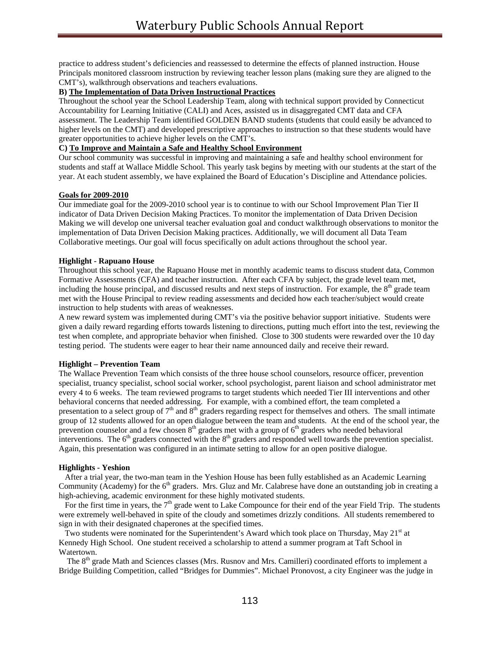practice to address student's deficiencies and reassessed to determine the effects of planned instruction. House Principals monitored classroom instruction by reviewing teacher lesson plans (making sure they are aligned to the CMT's), walkthrough observations and teachers evaluations.

### **B) The Implementation of Data Driven Instructional Practices**

Throughout the school year the School Leadership Team, along with technical support provided by Connecticut Accountability for Learning Initiative (CALI) and Aces, assisted us in disaggregated CMT data and CFA assessment. The Leadership Team identified GOLDEN BAND students (students that could easily be advanced to higher levels on the CMT) and developed prescriptive approaches to instruction so that these students would have greater opportunities to achieve higher levels on the CMT's.

### **C) To Improve and Maintain a Safe and Healthy School Environment**

Our school community was successful in improving and maintaining a safe and healthy school environment for students and staff at Wallace Middle School. This yearly task begins by meeting with our students at the start of the year. At each student assembly, we have explained the Board of Education's Discipline and Attendance policies.

#### **Goals for 2009-2010**

Our immediate goal for the 2009-2010 school year is to continue to with our School Improvement Plan Tier II indicator of Data Driven Decision Making Practices. To monitor the implementation of Data Driven Decision Making we will develop one universal teacher evaluation goal and conduct walkthrough observations to monitor the implementation of Data Driven Decision Making practices. Additionally, we will document all Data Team Collaborative meetings. Our goal will focus specifically on adult actions throughout the school year.

#### **Highlight - Rapuano House**

Throughout this school year, the Rapuano House met in monthly academic teams to discuss student data, Common Formative Assessments (CFA) and teacher instruction. After each CFA by subject, the grade level team met, including the house principal, and discussed results and next steps of instruction. For example, the  $8<sup>th</sup>$  grade team met with the House Principal to review reading assessments and decided how each teacher/subject would create instruction to help students with areas of weaknesses.

A new reward system was implemented during CMT's via the positive behavior support initiative. Students were given a daily reward regarding efforts towards listening to directions, putting much effort into the test, reviewing the test when complete, and appropriate behavior when finished. Close to 300 students were rewarded over the 10 day testing period. The students were eager to hear their name announced daily and receive their reward.

## **Highlight – Prevention Team**

The Wallace Prevention Team which consists of the three house school counselors, resource officer, prevention specialist, truancy specialist, school social worker, school psychologist, parent liaison and school administrator met every 4 to 6 weeks. The team reviewed programs to target students which needed Tier III interventions and other behavioral concerns that needed addressing. For example, with a combined effort, the team completed a presentation to a select group of  $7<sup>th</sup>$  and  $8<sup>th</sup>$  graders regarding respect for themselves and others. The small intimate group of 12 students allowed for an open dialogue between the team and students. At the end of the school year, the prevention counselor and a few chosen  $8<sup>th</sup>$  graders met with a group of  $6<sup>th</sup>$  graders who needed behavioral interventions. The  $6<sup>th</sup>$  graders connected with the  $8<sup>th</sup>$  graders and responded well towards the prevention specialist. Again, this presentation was configured in an intimate setting to allow for an open positive dialogue.

#### **Highlights - Yeshion**

 After a trial year, the two-man team in the Yeshion House has been fully established as an Academic Learning Community (Academy) for the  $6<sup>th</sup>$  graders. Mrs. Gluz and Mr. Calabrese have done an outstanding job in creating a high-achieving, academic environment for these highly motivated students.

For the first time in years, the  $7<sup>th</sup>$  grade went to Lake Compounce for their end of the year Field Trip. The students were extremely well-behaved in spite of the cloudy and sometimes drizzly conditions. All students remembered to sign in with their designated chaperones at the specified times.

Two students were nominated for the Superintendent's Award which took place on Thursday, May 21<sup>st</sup> at Kennedy High School. One student received a scholarship to attend a summer program at Taft School in Watertown.

The 8<sup>th</sup> grade Math and Sciences classes (Mrs. Rusnov and Mrs. Camilleri) coordinated efforts to implement a Bridge Building Competition, called "Bridges for Dummies". Michael Pronovost, a city Engineer was the judge in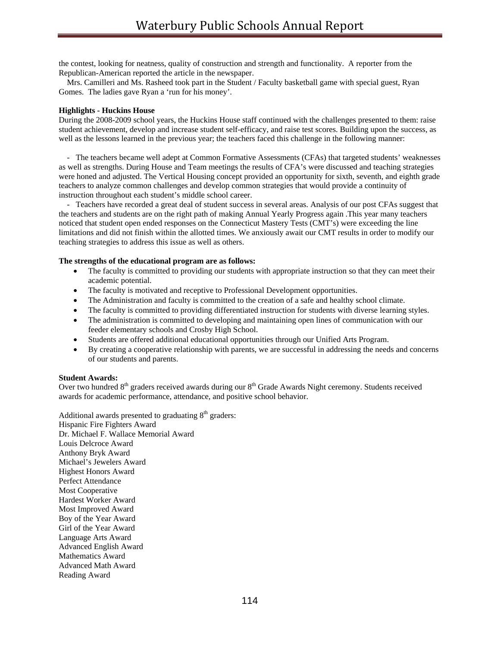the contest, looking for neatness, quality of construction and strength and functionality. A reporter from the Republican-American reported the article in the newspaper.

 Mrs. Camilleri and Ms. Rasheed took part in the Student / Faculty basketball game with special guest, Ryan Gomes. The ladies gave Ryan a 'run for his money'.

#### **Highlights - Huckins House**

During the 2008-2009 school years, the Huckins House staff continued with the challenges presented to them: raise student achievement, develop and increase student self-efficacy, and raise test scores. Building upon the success, as well as the lessons learned in the previous year; the teachers faced this challenge in the following manner:

 - The teachers became well adept at Common Formative Assessments (CFAs) that targeted students' weaknesses as well as strengths. During House and Team meetings the results of CFA's were discussed and teaching strategies were honed and adjusted. The Vertical Housing concept provided an opportunity for sixth, seventh, and eighth grade teachers to analyze common challenges and develop common strategies that would provide a continuity of instruction throughout each student's middle school career.

 - Teachers have recorded a great deal of student success in several areas. Analysis of our post CFAs suggest that the teachers and students are on the right path of making Annual Yearly Progress again .This year many teachers noticed that student open ended responses on the Connecticut Mastery Tests (CMT's) were exceeding the line limitations and did not finish within the allotted times. We anxiously await our CMT results in order to modify our teaching strategies to address this issue as well as others.

## **The strengths of the educational program are as follows:**

- The faculty is committed to providing our students with appropriate instruction so that they can meet their academic potential.
- The faculty is motivated and receptive to Professional Development opportunities.
- The Administration and faculty is committed to the creation of a safe and healthy school climate.
- The faculty is committed to providing differentiated instruction for students with diverse learning styles.
- The administration is committed to developing and maintaining open lines of communication with our feeder elementary schools and Crosby High School.
- Students are offered additional educational opportunities through our Unified Arts Program.
- By creating a cooperative relationship with parents, we are successful in addressing the needs and concerns of our students and parents.

## **Student Awards:**

Over two hundred 8<sup>th</sup> graders received awards during our 8<sup>th</sup> Grade Awards Night ceremony. Students received awards for academic performance, attendance, and positive school behavior.

Additional awards presented to graduating  $8<sup>th</sup>$  graders: Hispanic Fire Fighters Award Dr. Michael F. Wallace Memorial Award Louis Delcroce Award Anthony Bryk Award Michael's Jewelers Award Highest Honors Award Perfect Attendance Most Cooperative Hardest Worker Award Most Improved Award Boy of the Year Award Girl of the Year Award Language Arts Award Advanced English Award Mathematics Award Advanced Math Award Reading Award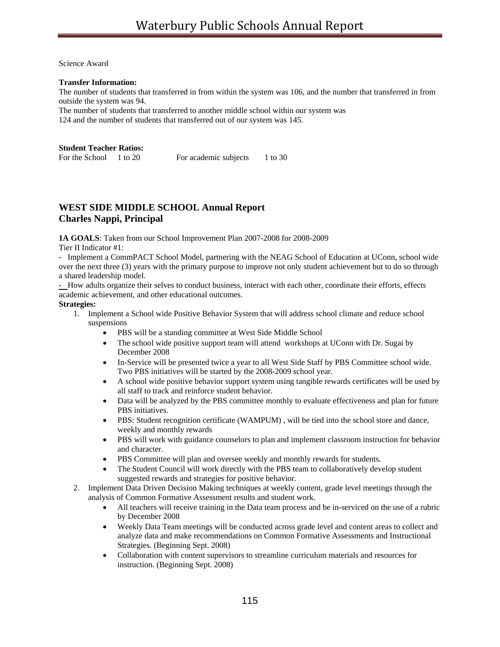Science Award

## **Transfer Information:**

The number of students that transferred in from within the system was 106, and the number that transferred in from outside the system was 94.

The number of students that transferred to another middle school within our system was 124 and the number of students that transferred out of our system was 145.

### **Student Teacher Ratios:**

| For the School | 1 to 20 | For academic subjects | 1 to 30 |
|----------------|---------|-----------------------|---------|
|                |         |                       |         |

# **WEST SIDE MIDDLE SCHOOL Annual Report Charles Nappi, Principal**

**1A GOALS**: Taken from our School Improvement Plan 2007-2008 for 2008-2009

Tier II Indicator #1:

- Implement a CommPACT School Model, partnering with the NEAG School of Education at UConn, school wide over the next three (3) years with the primary purpose to improve not only student achievement but to do so through a shared leadership model.

**-** How adults organize their selves to conduct business, interact with each other, coordinate their efforts, effects academic achievement, and other educational outcomes.

## **Strategies:**

- 1. Implement a School wide Positive Behavior System that will address school climate and reduce school suspensions
	- PBS will be a standing committee at West Side Middle School
	- The school wide positive support team will attend workshops at UConn with Dr. Sugai by December 2008
	- In-Service will be presented twice a year to all West Side Staff by PBS Committee school wide. Two PBS initiatives will be started by the 2008-2009 school year.
	- A school wide positive behavior support system using tangible rewards certificates will be used by all staff to track and reinforce student behavior.
	- Data will be analyzed by the PBS committee monthly to evaluate effectiveness and plan for future PBS initiatives.
	- PBS: Student recognition certificate (WAMPUM), will be tied into the school store and dance, weekly and monthly rewards
	- PBS will work with guidance counselors to plan and implement classroom instruction for behavior and character.
	- PBS Committee will plan and oversee weekly and monthly rewards for students.
	- The Student Council will work directly with the PBS team to collaboratively develop student suggested rewards and strategies for positive behavior.
- 2. Implement Data Driven Decision Making techniques at weekly content, grade level meetings through the analysis of Common Formative Assessment results and student work.
	- All teachers will receive training in the Data team process and be in-serviced on the use of a rubric by December 2008
	- Weekly Data Team meetings will be conducted across grade level and content areas to collect and analyze data and make recommendations on Common Formative Assessments and Instructional Strategies. (Beginning Sept. 2008)
	- Collaboration with content supervisors to streamline curriculum materials and resources for instruction. (Beginning Sept. 2008)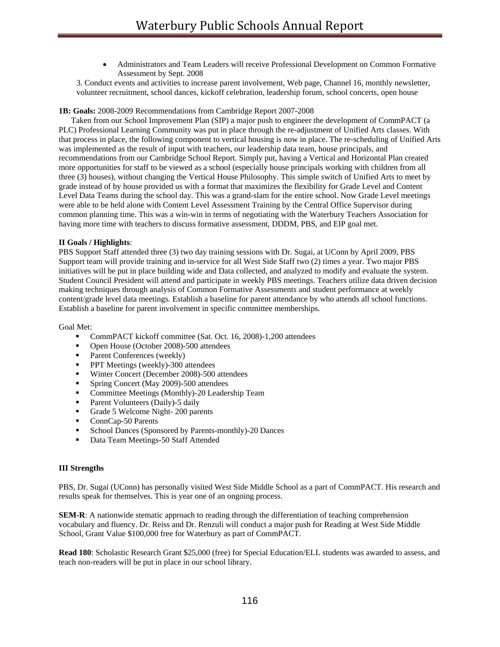• Administrators and Team Leaders will receive Professional Development on Common Formative Assessment by Sept. 2008

3. Conduct events and activities to increase parent involvement, Web page, Channel 16, monthly newsletter, volunteer recruitment, school dances, kickoff celebration, leadership forum, school concerts, open house

### **1B: Goals:** 2008-2009 Recommendations from Cambridge Report 2007-2008

 Taken from our School Improvement Plan (SIP) a major push to engineer the development of CommPACT (a PLC) Professional Learning Community was put in place through the re-adjustment of Unified Arts classes. With that process in place, the following component to vertical housing is now in place. The re-scheduling of Unified Arts was implemented as the result of input with teachers, our leadership data team, house principals, and recommendations from our Cambridge School Report. Simply put, having a Vertical and Horizontal Plan created more opportunities for staff to be viewed as a school (especially house principals working with children from all three (3) houses), without changing the Vertical House Philosophy. This simple switch of Unified Arts to meet by grade instead of by house provided us with a format that maximizes the flexibility for Grade Level and Content Level Data Teams during the school day. This was a grand-slam for the entire school. Now Grade Level meetings were able to be held alone with Content Level Assessment Training by the Central Office Supervisor during common planning time. This was a win-win in terms of negotiating with the Waterbury Teachers Association for having more time with teachers to discuss formative assessment, DDDM, PBS, and EIP goal met.

#### **II Goals / Highlights**:

PBS Support Staff attended three (3) two day training sessions with Dr. Sugai, at UConn by April 2009, PBS Support team will provide training and in-service for all West Side Staff two (2) times a year. Two major PBS initiatives will be put in place building wide and Data collected, and analyzed to modify and evaluate the system. Student Council President will attend and participate in weekly PBS meetings. Teachers utilize data driven decision making techniques through analysis of Common Formative Assessments and student performance at weekly content/grade level data meetings. Establish a baseline for parent attendance by who attends all school functions. Establish a baseline for parent involvement in specific committee memberships.

Goal Met:

- CommPACT kickoff committee (Sat. Oct. 16, 2008)-1,200 attendees
- Open House (October 2008)-500 attendees
- Parent Conferences (weekly)
- **PPT** Meetings (weekly)-300 attendees
- Winter Concert (December 2008)-500 attendees
- Spring Concert (May 2009)-500 attendees
- Committee Meetings (Monthly)-20 Leadership Team
- Parent Volunteers (Daily)-5 daily
- Grade 5 Welcome Night- 200 parents
- ConnCap-50 Parents
- School Dances (Sponsored by Parents-monthly)-20 Dances
- Data Team Meetings-50 Staff Attended

#### **III Strengths**

PBS, Dr. Sugai (UConn) has personally visited West Side Middle School as a part of CommPACT. His research and results speak for themselves. This is year one of an ongoing process.

**SEM-R**: A nationwide stematic approach to reading through the differentiation of teaching comprehension vocabulary and fluency. Dr. Reiss and Dr. Renzuli will conduct a major push for Reading at West Side Middle School, Grant Value \$100,000 free for Waterbury as part of CommPACT.

**Read 180**: Scholastic Research Grant \$25,000 (free) for Special Education/ELL students was awarded to assess, and teach non-readers will be put in place in our school library.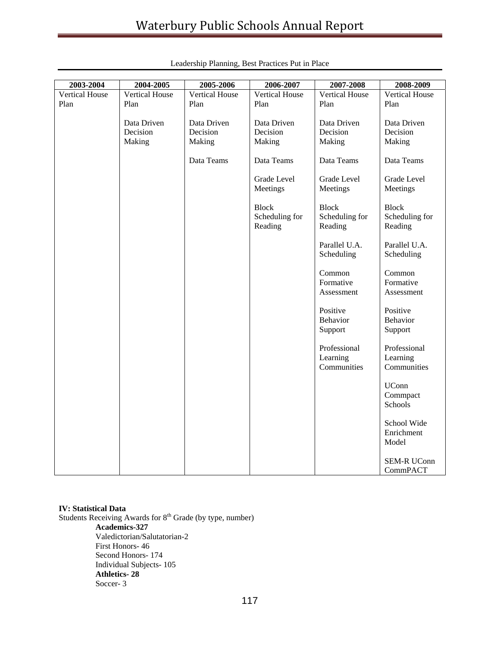| 2003-2004      | 2004-2005             | 2005-2006             | 2006-2007                                 | 2007-2008                                 | 2008-2009                                 |
|----------------|-----------------------|-----------------------|-------------------------------------------|-------------------------------------------|-------------------------------------------|
| Vertical House | <b>Vertical House</b> | <b>Vertical House</b> | <b>Vertical House</b>                     | <b>Vertical House</b>                     | Vertical House                            |
| Plan           | Plan                  | Plan                  | Plan                                      | Plan                                      | Plan                                      |
|                |                       |                       |                                           |                                           |                                           |
|                | Data Driven           | Data Driven           | Data Driven                               | Data Driven                               | Data Driven                               |
|                | Decision              | Decision              | Decision                                  | Decision                                  | Decision                                  |
|                | Making                | Making                | Making                                    | Making                                    | Making                                    |
|                |                       | Data Teams            | Data Teams                                | Data Teams                                | Data Teams                                |
|                |                       |                       | Grade Level<br>Meetings                   | Grade Level<br>Meetings                   | Grade Level<br>Meetings                   |
|                |                       |                       | <b>Block</b><br>Scheduling for<br>Reading | <b>Block</b><br>Scheduling for<br>Reading | <b>Block</b><br>Scheduling for<br>Reading |
|                |                       |                       |                                           | Parallel U.A.<br>Scheduling               | Parallel U.A.<br>Scheduling               |
|                |                       |                       |                                           | Common                                    | Common                                    |
|                |                       |                       |                                           | Formative                                 | Formative                                 |
|                |                       |                       |                                           | Assessment                                | Assessment                                |
|                |                       |                       |                                           |                                           |                                           |
|                |                       |                       |                                           | Positive                                  | Positive                                  |
|                |                       |                       |                                           | Behavior                                  | Behavior                                  |
|                |                       |                       |                                           | Support                                   | Support                                   |
|                |                       |                       |                                           | Professional                              | Professional                              |
|                |                       |                       |                                           | Learning                                  | Learning                                  |
|                |                       |                       |                                           | Communities                               | Communities                               |
|                |                       |                       |                                           |                                           | <b>UConn</b><br>Commpact<br>Schools       |
|                |                       |                       |                                           |                                           |                                           |
|                |                       |                       |                                           |                                           | School Wide                               |
|                |                       |                       |                                           |                                           | Enrichment                                |
|                |                       |                       |                                           |                                           | Model                                     |
|                |                       |                       |                                           |                                           |                                           |
|                |                       |                       |                                           |                                           | <b>SEM-R UConn</b>                        |
|                |                       |                       |                                           |                                           | CommPACT                                  |

|  | Leadership Planning, Best Practices Put in Place |  |
|--|--------------------------------------------------|--|
|  |                                                  |  |

## **IV: Statistical Data**

Students Receiving Awards for 8<sup>th</sup> Grade (by type, number) **Academics-327**  Valedictorian/Salutatorian-2 First Honors- 46 Second Honors- 174 Individual Subjects- 105 **Athletics- 28**  Soccer- 3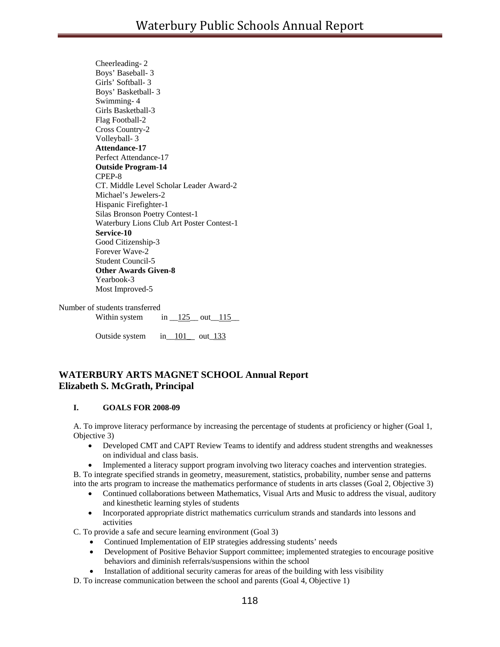Cheerleading- 2 Boys' Baseball- 3 Girls' Softball- 3 Boys' Basketball- 3 Swimming- 4 Girls Basketball-3 Flag Football-2 Cross Country-2 Volleyball- 3 **Attendance-17**  Perfect Attendance-17 **Outside Program-14**  CPEP-8 CT. Middle Level Scholar Leader Award-2 Michael's Jewelers-2 Hispanic Firefighter-1 Silas Bronson Poetry Contest-1 Waterbury Lions Club Art Poster Contest-1 **Service-10**  Good Citizenship-3 Forever Wave-2 Student Council-5 **Other Awards Given-8**  Yearbook-3 Most Improved-5

Number of students transferred Within system in  $125$  out  $115$ 

Outside system in 101 out 133

## **WATERBURY ARTS MAGNET SCHOOL Annual Report Elizabeth S. McGrath, Principal**

## **I. GOALS FOR 2008-09**

A. To improve literacy performance by increasing the percentage of students at proficiency or higher (Goal 1, Objective 3)

- Developed CMT and CAPT Review Teams to identify and address student strengths and weaknesses on individual and class basis.
- Implemented a literacy support program involving two literacy coaches and intervention strategies.

B. To integrate specified strands in geometry, measurement, statistics, probability, number sense and patterns into the arts program to increase the mathematics performance of students in arts classes (Goal 2, Objective 3)

- Continued collaborations between Mathematics, Visual Arts and Music to address the visual, auditory and kinesthetic learning styles of students
- Incorporated appropriate district mathematics curriculum strands and standards into lessons and activities

C. To provide a safe and secure learning environment (Goal 3)

- Continued Implementation of EIP strategies addressing students' needs
- Development of Positive Behavior Support committee; implemented strategies to encourage positive behaviors and diminish referrals/suspensions within the school
- Installation of additional security cameras for areas of the building with less visibility

D. To increase communication between the school and parents (Goal 4, Objective 1)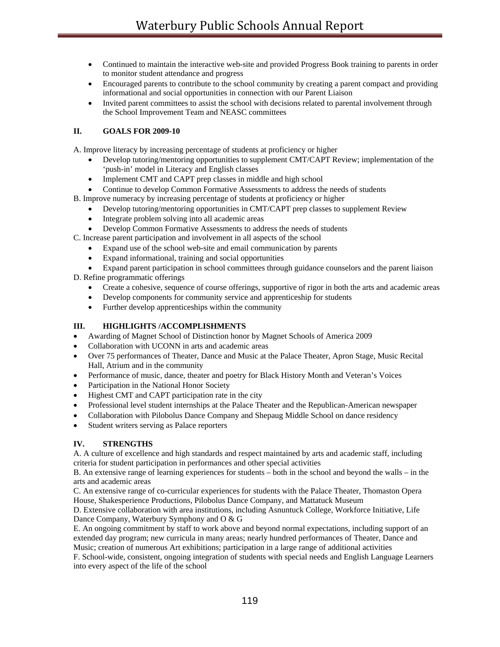- Continued to maintain the interactive web-site and provided Progress Book training to parents in order to monitor student attendance and progress
- Encouraged parents to contribute to the school community by creating a parent compact and providing informational and social opportunities in connection with our Parent Liaison
- Invited parent committees to assist the school with decisions related to parental involvement through the School Improvement Team and NEASC committees

## **II. GOALS FOR 2009-10**

A. Improve literacy by increasing percentage of students at proficiency or higher

- Develop tutoring/mentoring opportunities to supplement CMT/CAPT Review; implementation of the 'push-in' model in Literacy and English classes
- Implement CMT and CAPT prep classes in middle and high school
- Continue to develop Common Formative Assessments to address the needs of students
- B. Improve numeracy by increasing percentage of students at proficiency or higher
	- Develop tutoring/mentoring opportunities in CMT/CAPT prep classes to supplement Review
	- Integrate problem solving into all academic areas
	- Develop Common Formative Assessments to address the needs of students
- C. Increase parent participation and involvement in all aspects of the school
	- Expand use of the school web-site and email communication by parents
	- Expand informational, training and social opportunities
	- Expand parent participation in school committees through guidance counselors and the parent liaison

D. Refine programmatic offerings

- Create a cohesive, sequence of course offerings, supportive of rigor in both the arts and academic areas
- Develop components for community service and apprenticeship for students
- Further develop apprenticeships within the community

## **III. HIGHLIGHTS /ACCOMPLISHMENTS**

- Awarding of Magnet School of Distinction honor by Magnet Schools of America 2009
- Collaboration with UCONN in arts and academic areas
- Over 75 performances of Theater, Dance and Music at the Palace Theater, Apron Stage, Music Recital Hall, Atrium and in the community
- Performance of music, dance, theater and poetry for Black History Month and Veteran's Voices
- Participation in the National Honor Society
- Highest CMT and CAPT participation rate in the city
- Professional level student internships at the Palace Theater and the Republican-American newspaper
- Collaboration with Pilobolus Dance Company and Shepaug Middle School on dance residency
- Student writers serving as Palace reporters

## **IV. STRENGTHS**

A. A culture of excellence and high standards and respect maintained by arts and academic staff, including criteria for student participation in performances and other special activities

B. An extensive range of learning experiences for students – both in the school and beyond the walls – in the arts and academic areas

C. An extensive range of co-curricular experiences for students with the Palace Theater, Thomaston Opera House, Shakesperience Productions, Pilobolus Dance Company, and Mattatuck Museum

D. Extensive collaboration with area institutions, including Asnuntuck College, Workforce Initiative, Life Dance Company, Waterbury Symphony and O & G

E. An ongoing commitment by staff to work above and beyond normal expectations, including support of an extended day program; new curricula in many areas; nearly hundred performances of Theater, Dance and Music; creation of numerous Art exhibitions; participation in a large range of additional activities

F. School-wide, consistent, ongoing integration of students with special needs and English Language Learners into every aspect of the life of the school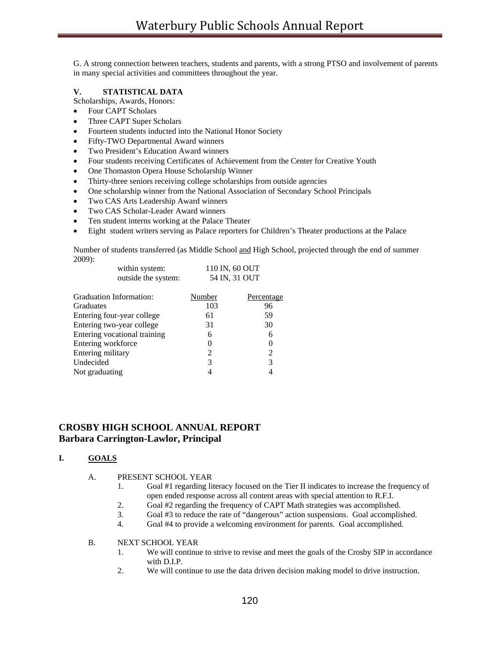G. A strong connection between teachers, students and parents, with a strong PTSO and involvement of parents in many special activities and committees throughout the year.

## **V. STATISTICAL DATA**

Scholarships, Awards, Honors:

- Four CAPT Scholars
- Three CAPT Super Scholars
- Fourteen students inducted into the National Honor Society
- Fifty-TWO Departmental Award winners
- Two President's Education Award winners
- Four students receiving Certificates of Achievement from the Center for Creative Youth
- One Thomaston Opera House Scholarship Winner
- Thirty-three seniors receiving college scholarships from outside agencies
- One scholarship winner from the National Association of Secondary School Principals
- Two CAS Arts Leadership Award winners
- Two CAS Scholar-Leader Award winners
- Ten student interns working at the Palace Theater
- Eight student writers serving as Palace reporters for Children's Theater productions at the Palace

Number of students transferred (as Middle School and High School, projected through the end of summer 2009):

| within system:<br>outside the system: | 110 IN, 60 OUT<br>54 IN, 31 OUT |            |  |
|---------------------------------------|---------------------------------|------------|--|
| Graduation Information:               | Number                          | Percentage |  |
| <b>Graduates</b>                      | 103                             | 96         |  |
| Entering four-year college            | 61                              | 59         |  |
| Entering two-year college             | 31                              | 30         |  |
| Entering vocational training          | 6                               | 6          |  |
| Entering workforce                    | $\theta$                        | 0          |  |
| Entering military                     | 2                               | 2          |  |
| Undecided                             | 3                               | 3          |  |
| Not graduating                        |                                 | 4          |  |

# **CROSBY HIGH SCHOOL ANNUAL REPORT Barbara Carrington-Lawlor, Principal**

## **I. GOALS**

- A. PRESENT SCHOOL YEAR
	- 1. Goal #1 regarding literacy focused on the Tier II indicates to increase the frequency of open ended response across all content areas with special attention to R.F.I.
	- 2. Goal #2 regarding the frequency of CAPT Math strategies was accomplished.
	- 3. Goal #3 to reduce the rate of "dangerous" action suspensions. Goal accomplished.
	- 4. Goal #4 to provide a welcoming environment for parents. Goal accomplished.
- B. NEXT SCHOOL YEAR
	- 1. We will continue to strive to revise and meet the goals of the Crosby SIP in accordance with D.I.P.
	- 2. We will continue to use the data driven decision making model to drive instruction.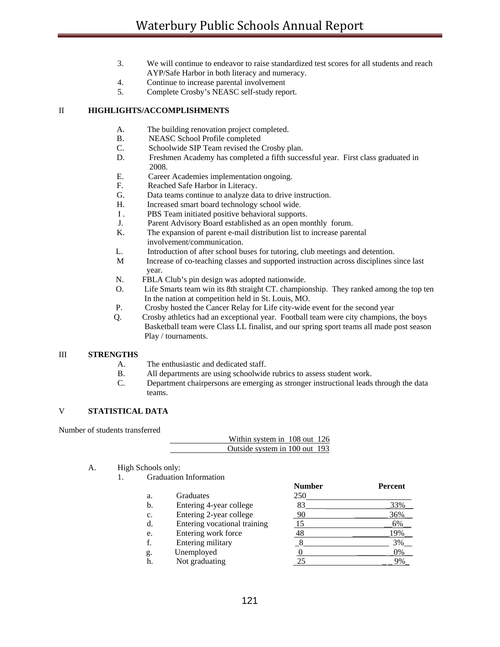- 3. We will continue to endeavor to raise standardized test scores for all students and reach AYP/Safe Harbor in both literacy and numeracy.
- 4. Continue to increase parental involvement
- 5. Complete Crosby's NEASC self-study report.

### II **HIGHLIGHTS/ACCOMPLISHMENTS**

- A. The building renovation project completed.
- B. NEASC School Profile completed
- C. Schoolwide SIP Team revised the Crosby plan.
- D. Freshmen Academy has completed a fifth successful year. First class graduated in 2008.
- E. Career Academies implementation ongoing.
- F. Reached Safe Harbor in Literacy.
- G. Data teams continue to analyze data to drive instruction.
- H. Increased smart board technology school wide.
- I . PBS Team initiated positive behavioral supports.
- J. Parent Advisory Board established as an open monthly forum.
- K. The expansion of parent e-mail distribution list to increase parental involvement/communication.
- L. Introduction of after school buses for tutoring, club meetings and detention.
- M Increase of co-teaching classes and supported instruction across disciplines since last year.
- N. FBLA Club's pin design was adopted nationwide.
- O. Life Smarts team win its 8th straight CT. championship. They ranked among the top ten In the nation at competition held in St. Louis, MO.
- P. Crosby hosted the Cancer Relay for Life city-wide event for the second year
- Q. Crosby athletics had an exceptional year. Football team were city champions, the boys Basketball team were Class LL finalist, and our spring sport teams all made post season Play / tournaments.

#### III **STRENGTHS**

- A. The enthusiastic and dedicated staff.
- B. All departments are using schoolwide rubrics to assess student work.
- C. Department chairpersons are emerging as stronger instructional leads through the data teams.

## V **STATISTICAL DATA**

Number of students transferred

|                               | Within system in 108 out 126 |  |
|-------------------------------|------------------------------|--|
| Outside system in 100 out 193 |                              |  |

- A. High Schools only:
	- 1. Graduation Information

|    |                              | <b>Number</b> | Percent |
|----|------------------------------|---------------|---------|
| a. | Graduates                    | 250           |         |
| b. | Entering 4-year college      | 83            | 33%     |
| c. | Entering 2-year college      | 90            | 36%     |
| d. | Entering vocational training |               | $6\%$   |
| e. | Entering work force          | 48            | 19%     |
| f. | Entering military            |               | 3%      |
| g. | Unemployed                   |               | 0%      |
| h. | Not graduating               |               | 9%      |
|    |                              |               |         |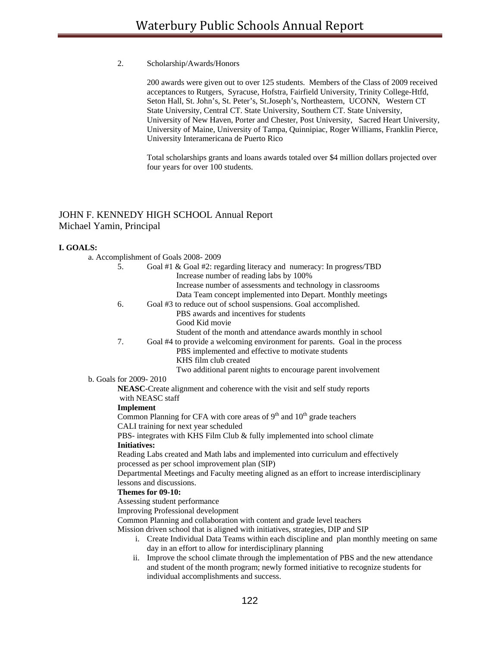#### 2. Scholarship/Awards/Honors

200 awards were given out to over 125 students. Members of the Class of 2009 received acceptances to Rutgers, Syracuse, Hofstra, Fairfield University, Trinity College-Htfd, Seton Hall, St. John's, St. Peter's, St.Joseph's, Northeastern, UCONN, Western CT State University, Central CT. State University, Southern CT. State University, University of New Haven, Porter and Chester, Post University, Sacred Heart University, University of Maine, University of Tampa, Quinnipiac, Roger Williams, Franklin Pierce, University Interamericana de Puerto Rico

Total scholarships grants and loans awards totaled over \$4 million dollars projected over four years for over 100 students.

## JOHN F. KENNEDY HIGH SCHOOL Annual Report Michael Yamin, Principal

#### **I. GOALS:**

| a. Accomplishment of Goals 2008-2009                                |
|---------------------------------------------------------------------|
| Goal #1 & Goal #2: regarding literacy and numeracy: In progress/TBD |
| Increase number of reading labs by 100%                             |
| Increase number of assessments and technology in classrooms         |
|                                                                     |

- Data Team concept implemented into Depart. Monthly meetings
- 6. Goal #3 to reduce out of school suspensions. Goal accomplished.
	- PBS awards and incentives for students Good Kid movie
	- Student of the month and attendance awards monthly in school
- 7. Goal #4 to provide a welcoming environment for parents. Goal in the process
	- PBS implemented and effective to motivate students KHS film club created
		- Two additional parent nights to encourage parent involvement

#### b. Goals for 2009- 2010

 **NEASC-**Create alignment and coherence with the visit and self study reports with NEASC staff

#### **Implement**

Common Planning for CFA with core areas of  $9<sup>th</sup>$  and  $10<sup>th</sup>$  grade teachers CALI training for next year scheduled

PBS- integrates with KHS Film Club & fully implemented into school climate  **Initiatives:** 

 Reading Labs created and Math labs and implemented into curriculum and effectively processed as per school improvement plan (SIP)

Departmental Meetings and Faculty meeting aligned as an effort to increase interdisciplinary lessons and discussions.

#### **Themes for 09-10:**

Assessing student performance

Improving Professional development

Common Planning and collaboration with content and grade level teachers

Mission driven school that is aligned with initiatives, strategies, DIP and SIP

- i. Create Individual Data Teams within each discipline and plan monthly meeting on same day in an effort to allow for interdisciplinary planning
- ii. Improve the school climate through the implementation of PBS and the new attendance and student of the month program; newly formed initiative to recognize students for individual accomplishments and success.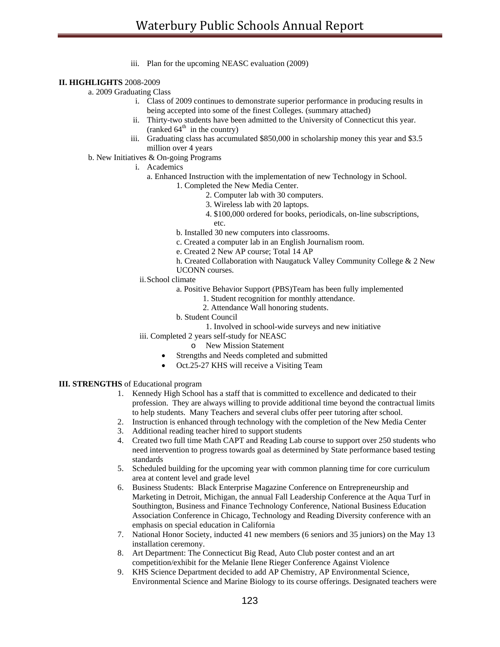iii. Plan for the upcoming NEASC evaluation (2009)

## **II. HIGHLIGHTS** 2008-2009

a. 2009 Graduating Class

- i. Class of 2009 continues to demonstrate superior performance in producing results in being accepted into some of the finest Colleges. (summary attached)
- ii. Thirty-two students have been admitted to the University of Connecticut this year. (ranked  $64<sup>th</sup>$  in the country)
- iii. Graduating class has accumulated \$850,000 in scholarship money this year and \$3.5 million over 4 years
- b. New Initiatives & On-going Programs
	- i. Academics
		- a. Enhanced Instruction with the implementation of new Technology in School.
			- 1. Completed the New Media Center.
				- 2. Computer lab with 30 computers.
				- 3. Wireless lab with 20 laptops.
				- 4. \$100,000 ordered for books, periodicals, on-line subscriptions, etc.
			- b. Installed 30 new computers into classrooms.
			- c. Created a computer lab in an English Journalism room.
			- e. Created 2 New AP course; Total 14 AP
			- h. Created Collaboration with Naugatuck Valley Community College & 2 New UCONN courses.
		- ii. School climate
			- a. Positive Behavior Support (PBS)Team has been fully implemented
				- 1. Student recognition for monthly attendance.
				- 2. Attendance Wall honoring students.
			- b. Student Council
				- 1. Involved in school-wide surveys and new initiative
		- iii. Completed 2 years self-study for NEASC
			- o New Mission Statement
			- Strengths and Needs completed and submitted
			- Oct.25-27 KHS will receive a Visiting Team

## **III. STRENGTHS** of Educational program

- 1. Kennedy High School has a staff that is committed to excellence and dedicated to their profession. They are always willing to provide additional time beyond the contractual limits to help students. Many Teachers and several clubs offer peer tutoring after school.
- 2. Instruction is enhanced through technology with the completion of the New Media Center
- 3. Additional reading teacher hired to support students
- 4. Created two full time Math CAPT and Reading Lab course to support over 250 students who need intervention to progress towards goal as determined by State performance based testing standards
- 5. Scheduled building for the upcoming year with common planning time for core curriculum area at content level and grade level
- 6. Business Students: Black Enterprise Magazine Conference on Entrepreneurship and Marketing in Detroit, Michigan, the annual Fall Leadership Conference at the Aqua Turf in Southington, Business and Finance Technology Conference, National Business Education Association Conference in Chicago, Technology and Reading Diversity conference with an emphasis on special education in California
- 7. National Honor Society, inducted 41 new members (6 seniors and 35 juniors) on the May 13 installation ceremony.
- 8. Art Department: The Connecticut Big Read, Auto Club poster contest and an art competition/exhibit for the Melanie Ilene Rieger Conference Against Violence
- 9. KHS Science Department decided to add AP Chemistry, AP Environmental Science, Environmental Science and Marine Biology to its course offerings. Designated teachers were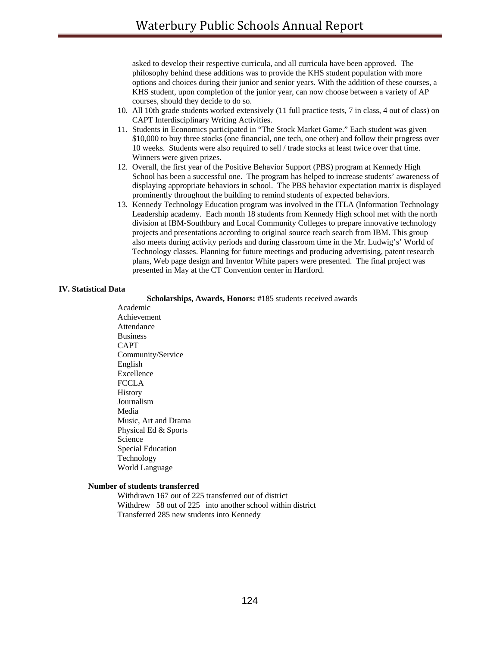asked to develop their respective curricula, and all curricula have been approved. The philosophy behind these additions was to provide the KHS student population with more options and choices during their junior and senior years. With the addition of these courses, a KHS student, upon completion of the junior year, can now choose between a variety of AP courses, should they decide to do so.

- 10. All 10th grade students worked extensively (11 full practice tests, 7 in class, 4 out of class) on CAPT Interdisciplinary Writing Activities.
- 11. Students in Economics participated in "The Stock Market Game." Each student was given \$10,000 to buy three stocks (one financial, one tech, one other) and follow their progress over 10 weeks. Students were also required to sell / trade stocks at least twice over that time. Winners were given prizes.
- 12. Overall, the first year of the Positive Behavior Support (PBS) program at Kennedy High School has been a successful one. The program has helped to increase students' awareness of displaying appropriate behaviors in school. The PBS behavior expectation matrix is displayed prominently throughout the building to remind students of expected behaviors.
- 13. Kennedy Technology Education program was involved in the ITLA (Information Technology Leadership academy. Each month 18 students from Kennedy High school met with the north division at IBM-Southbury and Local Community Colleges to prepare innovative technology projects and presentations according to original source reach search from IBM. This group also meets during activity periods and during classroom time in the Mr. Ludwig's' World of Technology classes. Planning for future meetings and producing advertising, patent research plans, Web page design and Inventor White papers were presented. The final project was presented in May at the CT Convention center in Hartford.

#### **IV. Statistical Data**

 **Scholarships, Awards, Honors:** #185 students received awards

Academic Achievement Attendance Business CAPT Community/Service English Excellence FCCLA History Journalism Media Music, Art and Drama Physical Ed & Sports Science Special Education Technology World Language

#### **Number of students transferred**

 Withdrawn 167 out of 225 transferred out of district Withdrew 58 out of 225 into another school within district Transferred 285 new students into Kennedy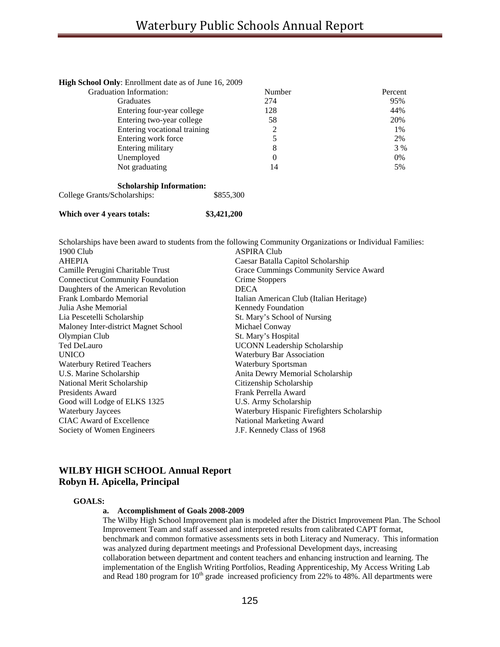| High School Only: Enrollment date as of June 16, 2009 |        |         |
|-------------------------------------------------------|--------|---------|
| <b>Graduation Information:</b>                        | Number | Percent |
| <b>Graduates</b>                                      | 274    | 95%     |
| Entering four-year college                            | 128    | 44%     |
| Entering two-year college                             | 58     | 20%     |
| Entering vocational training                          | 2      | 1%      |
| Entering work force                                   |        | 2%      |
| Entering military                                     | 8      | 3 %     |
| Unemployed                                            | 0      | $0\%$   |
| Not graduating                                        | 14     | 5%      |

#### **Scholarship Information:**

College Grants/Scholarships:  $$855,300$ 

## **Which over 4 years totals: \$3,421,200**

|                                         | Scholarships have been award to students from the following Community Organizations or Individual Families: |
|-----------------------------------------|-------------------------------------------------------------------------------------------------------------|
| 1900 Club                               | <b>ASPIRA Club</b>                                                                                          |
| <b>AHEPIA</b>                           | Caesar Batalla Capitol Scholarship                                                                          |
| Camille Perugini Charitable Trust       | Grace Cummings Community Service Award                                                                      |
| <b>Connecticut Community Foundation</b> | Crime Stoppers                                                                                              |
| Daughters of the American Revolution    | <b>DECA</b>                                                                                                 |
| Frank Lombardo Memorial                 | Italian American Club (Italian Heritage)                                                                    |
| Julia Ashe Memorial                     | Kennedy Foundation                                                                                          |
| Lia Pescetelli Scholarship              | St. Mary's School of Nursing                                                                                |
| Maloney Inter-district Magnet School    | Michael Conway                                                                                              |
| Olympian Club                           | St. Mary's Hospital                                                                                         |
| <b>Ted DeLauro</b>                      | <b>UCONN</b> Leadership Scholarship                                                                         |
| <b>UNICO</b>                            | Waterbury Bar Association                                                                                   |
| <b>Waterbury Retired Teachers</b>       | Waterbury Sportsman                                                                                         |
| U.S. Marine Scholarship                 | Anita Dewry Memorial Scholarship                                                                            |
| National Merit Scholarship              | Citizenship Scholarship                                                                                     |
| Presidents Award                        | Frank Perrella Award                                                                                        |
| Good will Lodge of ELKS 1325            | U.S. Army Scholarship                                                                                       |
| <b>Waterbury Jaycees</b>                | Waterbury Hispanic Firefighters Scholarship                                                                 |
| CIAC Award of Excellence                | National Marketing Award                                                                                    |
| Society of Women Engineers              | J.F. Kennedy Class of 1968                                                                                  |
|                                         |                                                                                                             |

## **WILBY HIGH SCHOOL Annual Report Robyn H. Apicella, Principal**

## **GOALS:**

#### **a. Accomplishment of Goals 2008-2009**

The Wilby High School Improvement plan is modeled after the District Improvement Plan. The School Improvement Team and staff assessed and interpreted results from calibrated CAPT format, benchmark and common formative assessments sets in both Literacy and Numeracy. This information was analyzed during department meetings and Professional Development days, increasing collaboration between department and content teachers and enhancing instruction and learning. The implementation of the English Writing Portfolios, Reading Apprenticeship, My Access Writing Lab and Read 180 program for  $10<sup>th</sup>$  grade increased proficiency from 22% to 48%. All departments were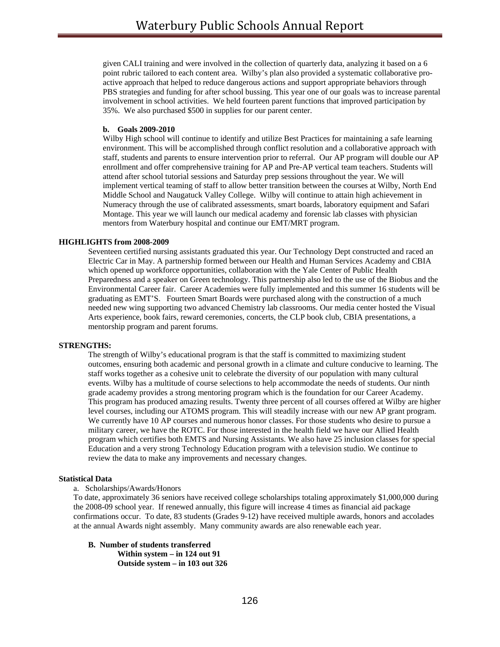given CALI training and were involved in the collection of quarterly data, analyzing it based on a 6 point rubric tailored to each content area. Wilby's plan also provided a systematic collaborative proactive approach that helped to reduce dangerous actions and support appropriate behaviors through PBS strategies and funding for after school bussing. This year one of our goals was to increase parental involvement in school activities. We held fourteen parent functions that improved participation by 35%. We also purchased \$500 in supplies for our parent center.

#### **b. Goals 2009-2010**

Wilby High school will continue to identify and utilize Best Practices for maintaining a safe learning environment. This will be accomplished through conflict resolution and a collaborative approach with staff, students and parents to ensure intervention prior to referral. Our AP program will double our AP enrollment and offer comprehensive training for AP and Pre-AP vertical team teachers. Students will attend after school tutorial sessions and Saturday prep sessions throughout the year. We will implement vertical teaming of staff to allow better transition between the courses at Wilby, North End Middle School and Naugatuck Valley College. Wilby will continue to attain high achievement in Numeracy through the use of calibrated assessments, smart boards, laboratory equipment and Safari Montage. This year we will launch our medical academy and forensic lab classes with physician mentors from Waterbury hospital and continue our EMT/MRT program.

## **HIGHLIGHTS from 2008-2009**

Seventeen certified nursing assistants graduated this year. Our Technology Dept constructed and raced an Electric Car in May. A partnership formed between our Health and Human Services Academy and CBIA which opened up workforce opportunities, collaboration with the Yale Center of Public Health Preparedness and a speaker on Green technology. This partnership also led to the use of the Biobus and the Environmental Career fair. Career Academies were fully implemented and this summer 16 students will be graduating as EMT'S. Fourteen Smart Boards were purchased along with the construction of a much needed new wing supporting two advanced Chemistry lab classrooms. Our media center hosted the Visual Arts experience, book fairs, reward ceremonies, concerts, the CLP book club, CBIA presentations, a mentorship program and parent forums.

#### **STRENGTHS:**

The strength of Wilby's educational program is that the staff is committed to maximizing student outcomes, ensuring both academic and personal growth in a climate and culture conducive to learning. The staff works together as a cohesive unit to celebrate the diversity of our population with many cultural events. Wilby has a multitude of course selections to help accommodate the needs of students. Our ninth grade academy provides a strong mentoring program which is the foundation for our Career Academy. This program has produced amazing results. Twenty three percent of all courses offered at Wilby are higher level courses, including our ATOMS program. This will steadily increase with our new AP grant program. We currently have 10 AP courses and numerous honor classes. For those students who desire to pursue a military career, we have the ROTC. For those interested in the health field we have our Allied Health program which certifies both EMTS and Nursing Assistants. We also have 25 inclusion classes for special Education and a very strong Technology Education program with a television studio. We continue to review the data to make any improvements and necessary changes.

#### **Statistical Data**

## a. Scholarships/Awards/Honors

To date, approximately 36 seniors have received college scholarships totaling approximately \$1,000,000 during the 2008-09 school year. If renewed annually, this figure will increase 4 times as financial aid package confirmations occur. To date, 83 students (Grades 9-12) have received multiple awards, honors and accolades at the annual Awards night assembly. Many community awards are also renewable each year.

 **B. Number of students transferred Within system – in 124 out 91 Outside system – in 103 out 326**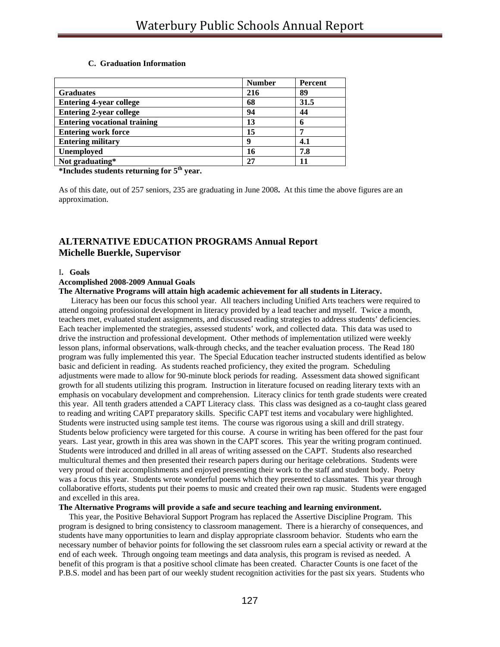#### **C. Graduation Information**

|                                     | <b>Number</b> | Percent |
|-------------------------------------|---------------|---------|
| <b>Graduates</b>                    | 216           | 89      |
| <b>Entering 4-year college</b>      | 68            | 31.5    |
| <b>Entering 2-year college</b>      | 94            | 44      |
| <b>Entering vocational training</b> | 13            |         |
| <b>Entering work force</b>          | 15            |         |
| <b>Entering military</b>            | Q             | 4.1     |
| <b>Unemployed</b>                   | 16            | 7.8     |
| Not graduating*                     | 27            |         |

**\*Includes students returning for 5th year.** 

As of this date, out of 257 seniors, 235 are graduating in June 2008**.** At this time the above figures are an approximation.

# **ALTERNATIVE EDUCATION PROGRAMS Annual Report Michelle Buerkle, Supervisor**

#### I**. Goals**

## **Accomplished 2008-2009 Annual Goals**

#### **The Alternative Programs will attain high academic achievement for all students in Literacy.**

 Literacy has been our focus this school year. All teachers including Unified Arts teachers were required to attend ongoing professional development in literacy provided by a lead teacher and myself. Twice a month, teachers met, evaluated student assignments, and discussed reading strategies to address students' deficiencies. Each teacher implemented the strategies, assessed students' work, and collected data. This data was used to drive the instruction and professional development. Other methods of implementation utilized were weekly lesson plans, informal observations, walk-through checks, and the teacher evaluation process. The Read 180 program was fully implemented this year. The Special Education teacher instructed students identified as below basic and deficient in reading. As students reached proficiency, they exited the program. Scheduling adjustments were made to allow for 90-minute block periods for reading. Assessment data showed significant growth for all students utilizing this program. Instruction in literature focused on reading literary texts with an emphasis on vocabulary development and comprehension. Literacy clinics for tenth grade students were created this year. All tenth graders attended a CAPT Literacy class. This class was designed as a co-taught class geared to reading and writing CAPT preparatory skills. Specific CAPT test items and vocabulary were highlighted. Students were instructed using sample test items. The course was rigorous using a skill and drill strategy. Students below proficiency were targeted for this course. A course in writing has been offered for the past four years. Last year, growth in this area was shown in the CAPT scores. This year the writing program continued. Students were introduced and drilled in all areas of writing assessed on the CAPT. Students also researched multicultural themes and then presented their research papers during our heritage celebrations. Students were very proud of their accomplishments and enjoyed presenting their work to the staff and student body. Poetry was a focus this year. Students wrote wonderful poems which they presented to classmates. This year through collaborative efforts, students put their poems to music and created their own rap music. Students were engaged and excelled in this area.

#### **The Alternative Programs will provide a safe and secure teaching and learning environment.**

 This year, the Positive Behavioral Support Program has replaced the Assertive Discipline Program. This program is designed to bring consistency to classroom management. There is a hierarchy of consequences, and students have many opportunities to learn and display appropriate classroom behavior. Students who earn the necessary number of behavior points for following the set classroom rules earn a special activity or reward at the end of each week. Through ongoing team meetings and data analysis, this program is revised as needed. A benefit of this program is that a positive school climate has been created. Character Counts is one facet of the P.B.S. model and has been part of our weekly student recognition activities for the past six years. Students who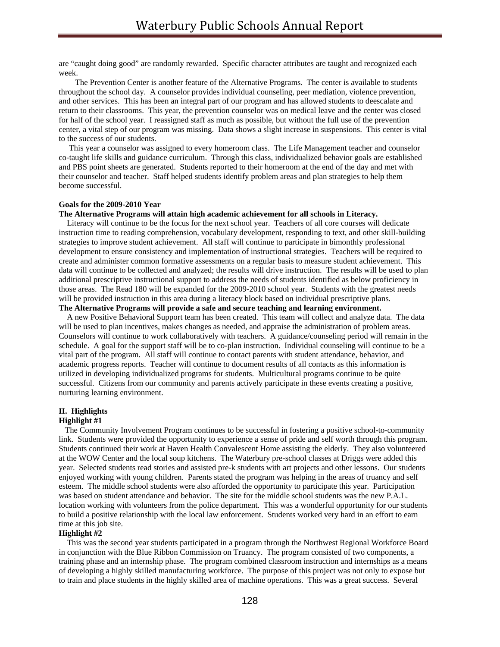are "caught doing good" are randomly rewarded. Specific character attributes are taught and recognized each week.

 The Prevention Center is another feature of the Alternative Programs. The center is available to students throughout the school day. A counselor provides individual counseling, peer mediation, violence prevention, and other services. This has been an integral part of our program and has allowed students to deescalate and return to their classrooms. This year, the prevention counselor was on medical leave and the center was closed for half of the school year. I reassigned staff as much as possible, but without the full use of the prevention center, a vital step of our program was missing. Data shows a slight increase in suspensions. This center is vital to the success of our students.

 This year a counselor was assigned to every homeroom class. The Life Management teacher and counselor co-taught life skills and guidance curriculum. Through this class, individualized behavior goals are established and PBS point sheets are generated. Students reported to their homeroom at the end of the day and met with their counselor and teacher. Staff helped students identify problem areas and plan strategies to help them become successful.

#### **Goals for the 2009-2010 Year**

#### **The Alternative Programs will attain high academic achievement for all schools in Literacy.**

 Literacy will continue to be the focus for the next school year. Teachers of all core courses will dedicate instruction time to reading comprehension, vocabulary development, responding to text, and other skill-building strategies to improve student achievement. All staff will continue to participate in bimonthly professional development to ensure consistency and implementation of instructional strategies. Teachers will be required to create and administer common formative assessments on a regular basis to measure student achievement. This data will continue to be collected and analyzed; the results will drive instruction. The results will be used to plan additional prescriptive instructional support to address the needs of students identified as below proficiency in those areas. The Read 180 will be expanded for the 2009-2010 school year. Students with the greatest needs will be provided instruction in this area during a literacy block based on individual prescriptive plans. **The Alternative Programs will provide a safe and secure teaching and learning environment.** 

 A new Positive Behavioral Support team has been created. This team will collect and analyze data. The data will be used to plan incentives, makes changes as needed, and appraise the administration of problem areas. Counselors will continue to work collaboratively with teachers. A guidance/counseling period will remain in the schedule. A goal for the support staff will be to co-plan instruction. Individual counseling will continue to be a vital part of the program. All staff will continue to contact parents with student attendance, behavior, and academic progress reports. Teacher will continue to document results of all contacts as this information is utilized in developing individualized programs for students. Multicultural programs continue to be quite successful. Citizens from our community and parents actively participate in these events creating a positive, nurturing learning environment.

#### **II. Highlights**

#### **Highlight #1**

 The Community Involvement Program continues to be successful in fostering a positive school-to-community link. Students were provided the opportunity to experience a sense of pride and self worth through this program. Students continued their work at Haven Health Convalescent Home assisting the elderly. They also volunteered at the WOW Center and the local soup kitchens. The Waterbury pre-school classes at Driggs were added this year. Selected students read stories and assisted pre-k students with art projects and other lessons. Our students enjoyed working with young children. Parents stated the program was helping in the areas of truancy and self esteem. The middle school students were also afforded the opportunity to participate this year. Participation was based on student attendance and behavior. The site for the middle school students was the new P.A.L. location working with volunteers from the police department. This was a wonderful opportunity for our students to build a positive relationship with the local law enforcement. Students worked very hard in an effort to earn time at this job site.

#### **Highlight #2**

 This was the second year students participated in a program through the Northwest Regional Workforce Board in conjunction with the Blue Ribbon Commission on Truancy. The program consisted of two components, a training phase and an internship phase. The program combined classroom instruction and internships as a means of developing a highly skilled manufacturing workforce. The purpose of this project was not only to expose but to train and place students in the highly skilled area of machine operations. This was a great success. Several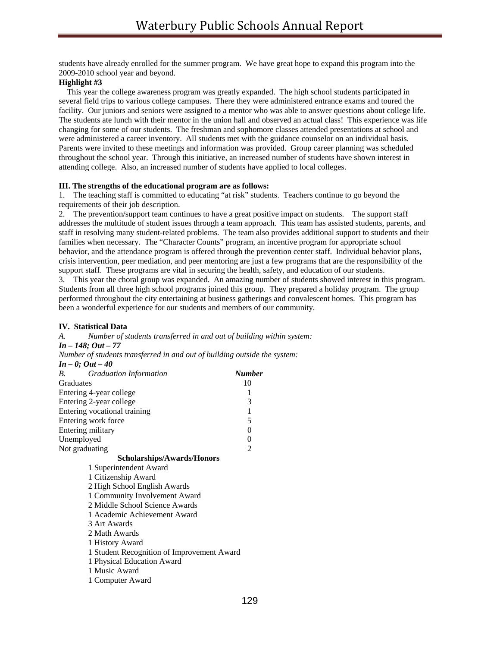students have already enrolled for the summer program. We have great hope to expand this program into the 2009-2010 school year and beyond.

#### **Highlight #3**

 This year the college awareness program was greatly expanded. The high school students participated in several field trips to various college campuses. There they were administered entrance exams and toured the facility. Our juniors and seniors were assigned to a mentor who was able to answer questions about college life. The students ate lunch with their mentor in the union hall and observed an actual class! This experience was life changing for some of our students. The freshman and sophomore classes attended presentations at school and were administered a career inventory. All students met with the guidance counselor on an individual basis. Parents were invited to these meetings and information was provided. Group career planning was scheduled throughout the school year. Through this initiative, an increased number of students have shown interest in attending college. Also, an increased number of students have applied to local colleges.

#### **III. The strengths of the educational program are as follows:**

1. The teaching staff is committed to educating "at risk" students. Teachers continue to go beyond the requirements of their job description.

2. The prevention/support team continues to have a great positive impact on students. The support staff addresses the multitude of student issues through a team approach. This team has assisted students, parents, and staff in resolving many student-related problems. The team also provides additional support to students and their families when necessary. The "Character Counts" program, an incentive program for appropriate school behavior, and the attendance program is offered through the prevention center staff. Individual behavior plans, crisis intervention, peer mediation, and peer mentoring are just a few programs that are the responsibility of the support staff. These programs are vital in securing the health, safety, and education of our students.

3. This year the choral group was expanded. An amazing number of students showed interest in this program. Students from all three high school programs joined this group. They prepared a holiday program. The group performed throughout the city entertaining at business gatherings and convalescent homes. This program has been a wonderful experience for our students and members of our community.

### **IV. Statistical Data**

*A. Number of students transferred in and out of building within system: In – 148; Out – 77 Number of students transferred in and out of building outside the system: In – 0; Out – 40 B. Graduation Information Number*  Graduates 10 Entering 4-year college 1 Entering 2-year college 3 Entering vocational training 1 Entering work force 5 Entering military 0 Unemployed 0 Not graduating 2  **Scholarships/Awards/Honors**  1 Superintendent Award 1 Citizenship Award 2 High School English Awards 1 Community Involvement Award 2 Middle School Science Awards 1 Academic Achievement Award 3 Art Awards 2 Math Awards 1 History Award 1 Student Recognition of Improvement Award 1 Physical Education Award 1 Music Award 1 Computer Award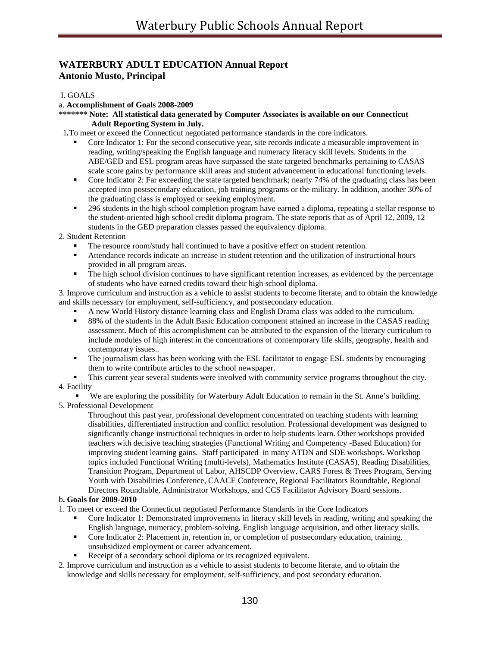## **WATERBURY ADULT EDUCATION Annual Report Antonio Musto, Principal**

## I. GOALS

### a. **Accomplishment of Goals 2008-2009**

**\*\*\*\*\*\*\* Note: All statistical data generated by Computer Associates is available on our Connecticut Adult Reporting System in July.** 

1*.*To meet or exceed the Connecticut negotiated performance standards in the core indicators.

- Core Indicator 1: For the second consecutive year, site records indicate a measurable improvement in reading, writing/speaking the English language and numeracy literacy skill levels. Students in the ABE/GED and ESL program areas have surpassed the state targeted benchmarks pertaining to CASAS scale score gains by performance skill areas and student advancement in educational functioning levels.
- Core Indicator 2: Far exceeding the state targeted benchmark; nearly 74% of the graduating class has been accepted into postsecondary education, job training programs or the military. In addition, another 30% of the graduating class is employed or seeking employment.
- 296 students in the high school completion program have earned a diploma, repeating a stellar response to the student-oriented high school credit diploma program. The state reports that as of April 12, 2009, 12 students in the GED preparation classes passed the equivalency diploma.

2. Student Retention

- The resource room/study hall continued to have a positive effect on student retention.
- Attendance records indicate an increase in student retention and the utilization of instructional hours provided in all program areas.
- The high school division continues to have significant retention increases, as evidenced by the percentage of students who have earned credits toward their high school diploma.

3. Improve curriculum and instruction as a vehicle to assist students to become literate, and to obtain the knowledge and skills necessary for employment, self-sufficiency, and postsecondary education.

- A new World History distance learning class and English Drama class was added to the curriculum.
- <sup>8</sup> 88% of the students in the Adult Basic Education component attained an increase in the CASAS reading assessment. Much of this accomplishment can be attributed to the expansion of the literacy curriculum to include modules of high interest in the concentrations of contemporary life skills, geography, health and contemporary issues..
- The journalism class has been working with the ESL facilitator to engage ESL students by encouraging them to write contribute articles to the school newspaper.
- This current year several students were involved with community service programs throughout the city.

## 4. Facility

We are exploring the possibility for Waterbury Adult Education to remain in the St. Anne's building. 5. Professional Development

Throughout this past year, professional development concentrated on teaching students with learning disabilities, differentiated instruction and conflict resolution. Professional development was designed to significantly change instructional techniques in order to help students learn. Other workshops provided teachers with decisive teaching strategies (Functional Writing and Competency -Based Education) for improving student learning gains. Staff participated in many ATDN and SDE workshops. Workshop topics included Functional Writing (multi-levels), Mathematics Institute (CASAS), Reading Disabilities, Transition Program, Department of Labor, AHSCDP Overview, CARS Forest & Trees Program, Serving Youth with Disabilities Conference, CAACE Conference, Regional Facilitators Roundtable, Regional Directors Roundtable, Administrator Workshops, and CCS Facilitator Advisory Board sessions.

## b**. Goals for 2009-2010**

1. To meet or exceed the Connecticut negotiated Performance Standards in the Core Indicators

- Core Indicator 1: Demonstrated improvements in literacy skill levels in reading, writing and speaking the English language, numeracy, problem-solving, English language acquisition, and other literacy skills.
- Core Indicator 2: Placement in, retention in, or completion of postsecondary education, training, unsubsidized employment or career advancement.
- Receipt of a secondary school diploma or its recognized equivalent.
- 2. Improve curriculum and instruction as a vehicle to assist students to become literate, and to obtain the knowledge and skills necessary for employment, self-sufficiency, and post secondary education.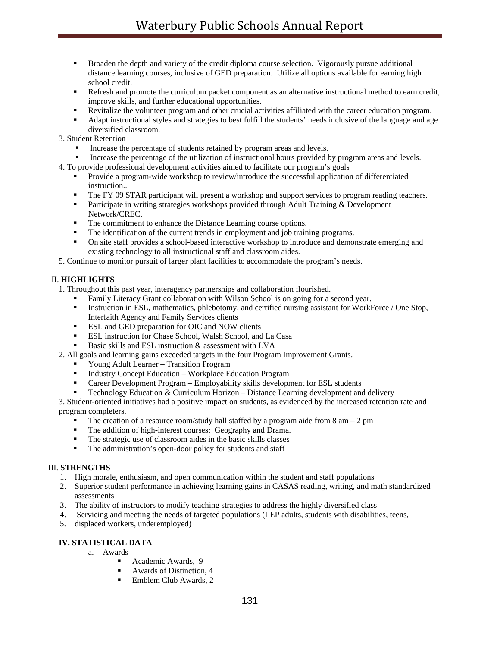- **Broaden the depth and variety of the credit diploma course selection.** Vigorously pursue additional distance learning courses, inclusive of GED preparation. Utilize all options available for earning high school credit.
- **Refresh and promote the curriculum packet component as an alternative instructional method to earn credit,** improve skills, and further educational opportunities.
- Revitalize the volunteer program and other crucial activities affiliated with the career education program.
- Adapt instructional styles and strategies to best fulfill the students' needs inclusive of the language and age diversified classroom.
- 3. Student Retention
	- Increase the percentage of students retained by program areas and levels.
	- Increase the percentage of the utilization of instructional hours provided by program areas and levels.
- 4. To provide professional development activities aimed to facilitate our program's goals
	- **Provide a program-wide workshop to review/introduce the successful application of differentiated** instruction..
	- The FY 09 STAR participant will present a workshop and support services to program reading teachers.
	- **Participate in writing strategies workshops provided through Adult Training & Development** Network/CREC.
	- The commitment to enhance the Distance Learning course options.<br>The identification of the current trends in employment and iob train
	- The identification of the current trends in employment and job training programs.
	- On site staff provides a school-based interactive workshop to introduce and demonstrate emerging and existing technology to all instructional staff and classroom aides.
- 5. Continue to monitor pursuit of larger plant facilities to accommodate the program's needs.

## II. **HIGHLIGHTS**

- 1. Throughout this past year, interagency partnerships and collaboration flourished.
	- Family Literacy Grant collaboration with Wilson School is on going for a second year.
	- Instruction in ESL, mathematics, phlebotomy, and certified nursing assistant for WorkForce / One Stop, Interfaith Agency and Family Services clients
	- **ESL and GED preparation for OIC and NOW clients**
	- **ESL** instruction for Chase School, Walsh School, and La Casa
	- Basic skills and ESL instruction & assessment with LVA
- 2. All goals and learning gains exceeded targets in the four Program Improvement Grants.
	- Young Adult Learner Transition Program
	- Industry Concept Education Workplace Education Program
	- Career Development Program Employability skills development for ESL students
	- Technology Education & Curriculum Horizon Distance Learning development and delivery

3. Student-oriented initiatives had a positive impact on students, as evidenced by the increased retention rate and program completers.

- The creation of a resource room/study hall staffed by a program aide from  $8 \text{ am} 2 \text{ pm}$
- The addition of high-interest courses: Geography and Drama.
- The strategic use of classroom aides in the basic skills classes
- The administration's open-door policy for students and staff

## III. **STRENGTHS**

- 1. High morale, enthusiasm, and open communication within the student and staff populations
- 2. Superior student performance in achieving learning gains in CASAS reading, writing, and math standardized assessments
- 3. The ability of instructors to modify teaching strategies to address the highly diversified class
- 4. Servicing and meeting the needs of targeted populations (LEP adults, students with disabilities, teens,
- 5. displaced workers, underemployed)

## **IV. STATISTICAL DATA**

- a. Awards
	- Academic Awards, 9
	- Awards of Distinction, 4
	- Emblem Club Awards, 2